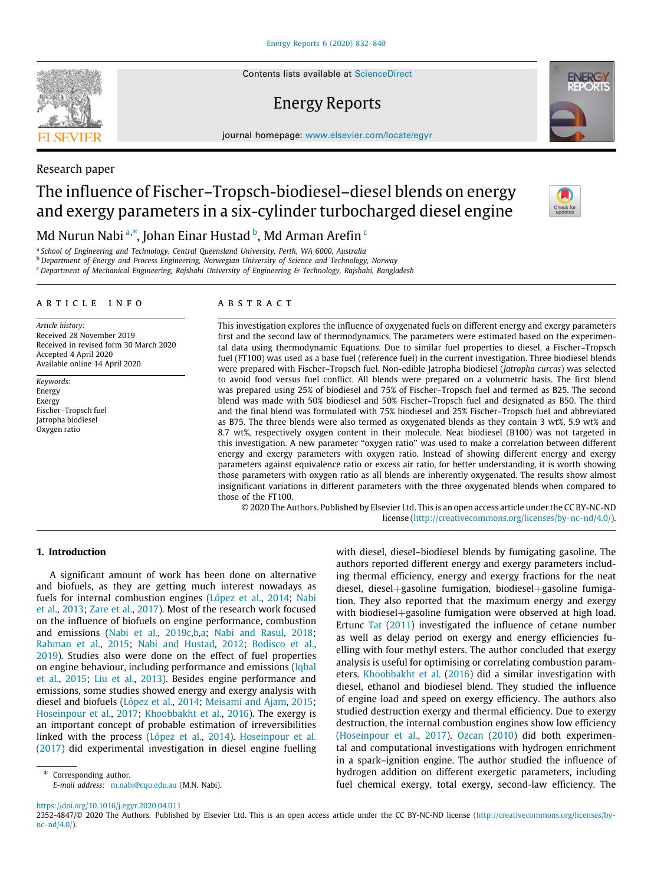Contents lists available at [ScienceDirect](http://www.elsevier.com/locate/egyr)

# Energy Reports

journal homepage: [www.elsevier.com/locate/egyr](http://www.elsevier.com/locate/egyr)

# The influence of Fischer–Tropsch-biodiesel–diesel blends on energy and exergy parameters in a six-cylinder turbocharged diesel engine

Md Nurun N[a](#page-0-0)[b](#page-0-2)i ª $\cdot^*$  $\cdot^*$  $\cdot^*$ , Johan Einar Hustad  $^{\rm b}$ , Md Arman Arefin  $^{\rm c}$ 

<span id="page-0-0"></span>a *School of Engineering and Technology, Central Queensland University, Perth, WA 6000, Australia*

<span id="page-0-2"></span><sup>b</sup> *Department of Energy and Process Engineering, Norwegian University of Science and Technology, Norway*

<span id="page-0-3"></span><sup>c</sup> *Department of Mechanical Engineering, Rajshahi University of Engineering & Technology, Rajshahi, Bangladesh*

#### a r t i c l e i n f o

*Article history:* Received 28 November 2019 Received in revised form 30 March 2020 Accepted 4 April 2020 Available online 14 April 2020

*Keywords:* Energy Exergy Fischer–Tropsch fuel Jatropha biodiesel Oxygen ratio

#### A B S T R A C T

This investigation explores the influence of oxygenated fuels on different energy and exergy parameters first and the second law of thermodynamics. The parameters were estimated based on the experimental data using thermodynamic Equations. Due to similar fuel properties to diesel, a Fischer–Tropsch fuel (FT100) was used as a base fuel (reference fuel) in the current investigation. Three biodiesel blends were prepared with Fischer–Tropsch fuel. Non-edible Jatropha biodiesel (*Jatropha curcas*) was selected to avoid food versus fuel conflict. All blends were prepared on a volumetric basis. The first blend was prepared using 25% of biodiesel and 75% of Fischer–Tropsch fuel and termed as B25. The second blend was made with 50% biodiesel and 50% Fischer–Tropsch fuel and designated as B50. The third and the final blend was formulated with 75% biodiesel and 25% Fischer–Tropsch fuel and abbreviated as B75. The three blends were also termed as oxygenated blends as they contain 3 wt%, 5.9 wt% and 8.7 wt%, respectively oxygen content in their molecule. Neat biodiesel (B100) was not targeted in this investigation. A new parameter ''oxygen ratio'' was used to make a correlation between different energy and exergy parameters with oxygen ratio. Instead of showing different energy and exergy parameters against equivalence ratio or excess air ratio, for better understanding, it is worth showing those parameters with oxygen ratio as all blends are inherently oxygenated. The results show almost insignificant variations in different parameters with the three oxygenated blends when compared to those of the FT100.

© 2020 The Authors. Published by Elsevier Ltd. This is an open access article under the CC BY-NC-ND license [\(http://creativecommons.org/licenses/by-nc-nd/4.0/](http://creativecommons.org/licenses/by-nc-nd/4.0/)).

# **1. Introduction**

A significant amount of work has been done on alternative and biofuels, as they are getting much interest nowadays as fuels for internal combustion engines [\(López et al.](#page-7-0), [2014](#page-7-0); [Nabi](#page-7-1) [et al.](#page-7-1), [2013](#page-7-1); [Zare et al.,](#page-8-0) [2017](#page-8-0)). Most of the research work focused on the influence of biofuels on engine performance, combustion and emissions ([Nabi et al.](#page-7-2), [2019c](#page-7-2)[,b](#page-7-3)[,a;](#page-7-4) [Nabi and Rasul,](#page-7-5) [2018;](#page-7-5) [Rahman et al.](#page-8-1), [2015](#page-8-1); [Nabi and Hustad,](#page-7-6) [2012;](#page-7-6) [Bodisco et al.,](#page-7-7) [2019\)](#page-7-7). Studies also were done on the effect of fuel properties on engine behaviour, including performance and emissions ([Iqbal](#page-7-8) [et al.,](#page-7-8) [2015;](#page-7-8) [Liu et al.](#page-7-9), [2013\)](#page-7-9). Besides engine performance and emissions, some studies showed energy and exergy analysis with diesel and biofuels ([López et al.,](#page-7-0) [2014;](#page-7-0) [Meisami and Ajam,](#page-7-10) [2015;](#page-7-10) [Hoseinpour et al.,](#page-7-11) [2017](#page-7-11); [Khoobbakht et al.](#page-7-12), [2016](#page-7-12)). The exergy is an important concept of probable estimation of irreversibilities linked with the process ([López et al.](#page-7-0), [2014](#page-7-0)). [Hoseinpour et al.](#page-7-11) ([2017\)](#page-7-11) did experimental investigation in diesel engine fuelling

<span id="page-0-1"></span>Corresponding author. *E-mail address:* [m.nabi@cqu.edu.au](mailto:m.nabi@cqu.edu.au) (M.N. Nabi). with diesel, diesel–biodiesel blends by fumigating gasoline. The authors reported different energy and exergy parameters including thermal efficiency, energy and exergy fractions for the neat diesel, diesel+gasoline fumigation, biodiesel+gasoline fumigation. They also reported that the maximum energy and exergy with biodiesel+gasoline fumigation were observed at high load. Ertunc [Tat](#page-8-2) ([2011\)](#page-8-2) investigated the influence of cetane number as well as delay period on exergy and energy efficiencies fuelling with four methyl esters. The author concluded that exergy analysis is useful for optimising or correlating combustion parameters. [Khoobbakht et al.](#page-7-12) [\(2016](#page-7-12)) did a similar investigation with diesel, ethanol and biodiesel blend. They studied the influence of engine load and speed on exergy efficiency. The authors also studied destruction exergy and thermal efficiency. Due to exergy destruction, the internal combustion engines show low efficiency ([Hoseinpour et al.,](#page-7-11) [2017\)](#page-7-11). [Ozcan](#page-7-13) ([2010\)](#page-7-13) did both experimental and computational investigations with hydrogen enrichment in a spark–ignition engine. The author studied the influence of hydrogen addition on different exergetic parameters, including fuel chemical exergy, total exergy, second-law efficiency. The

<https://doi.org/10.1016/j.egyr.2020.04.011>



Research paper



<sup>2352-4847/</sup>© 2020 The Authors. Published by Elsevier Ltd. This is an open access article under the CC BY-NC-ND license [\(http://creativecommons.org/licenses/by](http://creativecommons.org/licenses/by-nc-nd/4.0/) $nc-nd/4.0/$ ).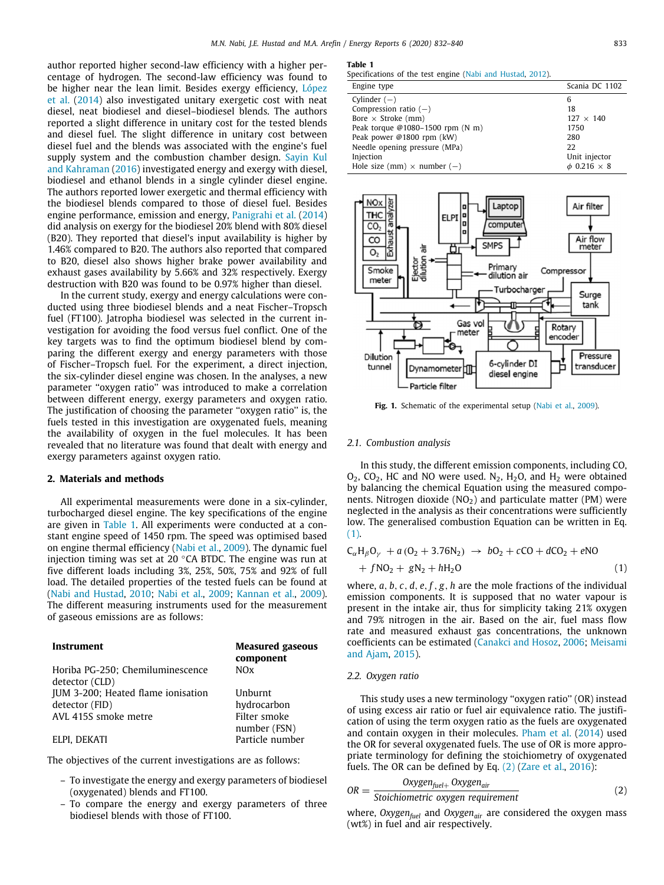author reported higher second-law efficiency with a higher percentage of hydrogen. The second-law efficiency was found to be higher near the lean limit. Besides exergy efficiency, [López](#page-7-0) [et al.](#page-7-0) [\(2014\)](#page-7-0) also investigated unitary exergetic cost with neat diesel, neat biodiesel and diesel–biodiesel blends. The authors reported a slight difference in unitary cost for the tested blends and diesel fuel. The slight difference in unitary cost between diesel fuel and the blends was associated with the engine's fuel supply system and the combustion chamber design. [Sayin Kul](#page-8-3) [and Kahraman](#page-8-3) ([2016\)](#page-8-3) investigated energy and exergy with diesel, biodiesel and ethanol blends in a single cylinder diesel engine. The authors reported lower exergetic and thermal efficiency with the biodiesel blends compared to those of diesel fuel. Besides engine performance, emission and energy, [Panigrahi et al.](#page-8-4) [\(2014\)](#page-8-4) did analysis on exergy for the biodiesel 20% blend with 80% diesel (B20). They reported that diesel's input availability is higher by 1.46% compared to B20. The authors also reported that compared to B20, diesel also shows higher brake power availability and exhaust gases availability by 5.66% and 32% respectively. Exergy destruction with B20 was found to be 0.97% higher than diesel.

In the current study, exergy and energy calculations were conducted using three biodiesel blends and a neat Fischer–Tropsch fuel (FT100). Jatropha biodiesel was selected in the current investigation for avoiding the food versus fuel conflict. One of the key targets was to find the optimum biodiesel blend by comparing the different exergy and energy parameters with those of Fischer–Tropsch fuel. For the experiment, a direct injection, the six-cylinder diesel engine was chosen. In the analyses, a new parameter ''oxygen ratio'' was introduced to make a correlation between different energy, exergy parameters and oxygen ratio. The justification of choosing the parameter ''oxygen ratio'' is, the fuels tested in this investigation are oxygenated fuels, meaning the availability of oxygen in the fuel molecules. It has been revealed that no literature was found that dealt with energy and exergy parameters against oxygen ratio.

# **2. Materials and methods**

All experimental measurements were done in a six-cylinder, turbocharged diesel engine. The key specifications of the engine are given in [Table](#page-1-0) [1.](#page-1-0) All experiments were conducted at a constant engine speed of 1450 rpm. The speed was optimised based on engine thermal efficiency ([Nabi et al.](#page-7-14), [2009\)](#page-7-14). The dynamic fuel injection timing was set at 20 ◦CA BTDC. The engine was run at five different loads including 3%, 25%, 50%, 75% and 92% of full load. The detailed properties of the tested fuels can be found at ([Nabi and Hustad](#page-7-15), [2010;](#page-7-15) [Nabi et al.](#page-7-14), [2009](#page-7-14); [Kannan et al.](#page-7-16), [2009\)](#page-7-16). The different measuring instruments used for the measurement of gaseous emissions are as follows:

| Instrument                         | <b>Measured gaseous</b><br>component |
|------------------------------------|--------------------------------------|
| Horiba PG-250; Chemiluminescence   | N(x)                                 |
| detector (CLD)                     |                                      |
| JUM 3-200; Heated flame ionisation | Unburnt                              |
| detector (FID)                     | hydrocarbon                          |
| AVL 415S smoke metre               | Filter smoke                         |
|                                    | number (FSN)                         |
| ELPI, DEKATI                       | Particle number                      |

The objectives of the current investigations are as follows:

- To investigate the energy and exergy parameters of biodiesel (oxygenated) blends and FT100.
- To compare the energy and exergy parameters of three biodiesel blends with those of FT100.

#### **Table 1**

<span id="page-1-0"></span>Specifications of the test engine ([Nabi and Hustad,](#page-7-6) [2012](#page-7-6)).

| Engine type                        | Scania DC 1102          |
|------------------------------------|-------------------------|
| Cylinder $(-)$                     | 6                       |
| Compression ratio $(-)$            | 18                      |
| Bore $\times$ Stroke (mm)          | $127 \times 140$        |
| Peak torque @1080-1500 rpm (N m)   | 1750                    |
| Peak power @1800 rpm (kW)          | 280                     |
| Needle opening pressure (MPa)      | 22                      |
| Injection                          | Unit injector           |
| Hole size (mm) $\times$ number (-) | $\phi$ 0.216 $\times$ 8 |



<span id="page-1-3"></span>Fig. 1. Schematic of the experimental setup [\(Nabi et al.,](#page-7-14) [2009\)](#page-7-14).

## *2.1. Combustion analysis*

In this study, the different emission components, including CO,  $O_2$ ,  $CO_2$ , HC and NO were used. N<sub>2</sub>, H<sub>2</sub>O, and H<sub>2</sub> were obtained by balancing the chemical Equation using the measured components. Nitrogen dioxide  $(NO<sub>2</sub>)$  and particulate matter  $(PM)$  were neglected in the analysis as their concentrations were sufficiently low. The generalised combustion Equation can be written in Eq. ([1](#page-1-1)).

<span id="page-1-1"></span>
$$
C_{\alpha}H_{\beta}O_{\gamma} + a (O_2 + 3.76N_2) \rightarrow bO_2 + cCO + dCO_2 + eNO + fNO_2 + gN_2 + hH_2O
$$
 (1)

where, *a*, *b*, *c*, *d*, *e*, *f* , *g*, *h* are the mole fractions of the individual emission components. It is supposed that no water vapour is present in the intake air, thus for simplicity taking 21% oxygen and 79% nitrogen in the air. Based on the air, fuel mass flow rate and measured exhaust gas concentrations, the unknown coefficients can be estimated ([Canakci and Hosoz,](#page-7-17) [2006](#page-7-17); [Meisami](#page-7-10) [and Ajam,](#page-7-10) [2015](#page-7-10)).

#### *2.2. Oxygen ratio*

This study uses a new terminology ''oxygen ratio'' (OR) instead of using excess air ratio or fuel air equivalence ratio. The justification of using the term oxygen ratio as the fuels are oxygenated and contain oxygen in their molecules. [Pham et al.](#page-8-5) [\(2014](#page-8-5)) used the OR for several oxygenated fuels. The use of OR is more appropriate terminology for defining the stoichiometry of oxygenated fuels. The OR can be defined by Eq. [\(2\)](#page-1-2) ([Zare et al.](#page-8-6), [2016](#page-8-6)):

<span id="page-1-2"></span>
$$
OR = \frac{Oxygen_{fuel+} Oxygen_{air}}{Stoichiometric oxygen requirement}
$$
 (2)

where, *Oxygenfuel* and *Oxygenair* are considered the oxygen mass (wt%) in fuel and air respectively.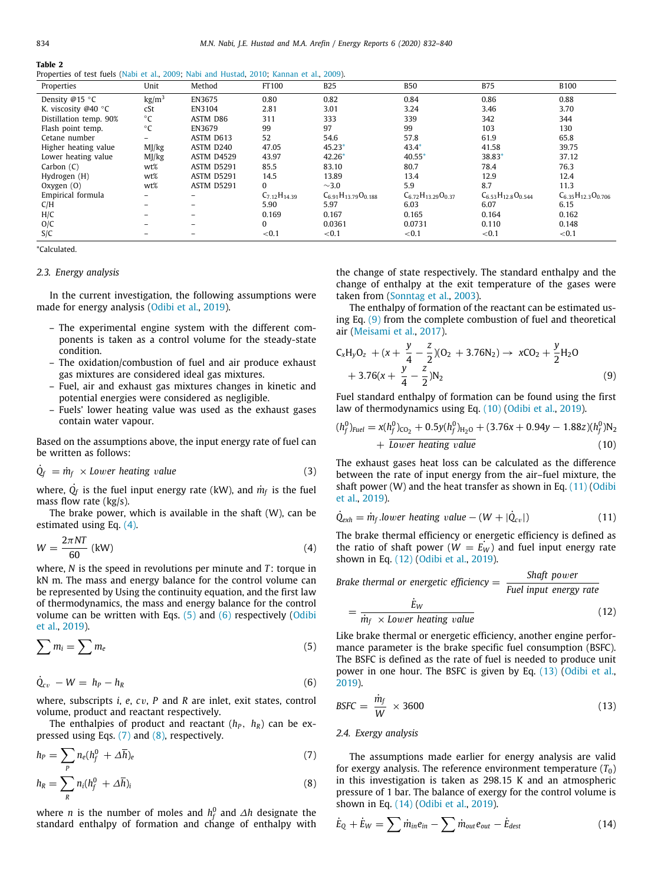**Table 2**

<span id="page-2-12"></span>

| Properties of test fuels (Nabi et al., 2009; Nabi and Hustad, 2010; Kannan et al., 2009). |  |  |  |  |  |  |  |  |  |  |  |
|-------------------------------------------------------------------------------------------|--|--|--|--|--|--|--|--|--|--|--|
|-------------------------------------------------------------------------------------------|--|--|--|--|--|--|--|--|--|--|--|

| Properties                    | Unit            | Method            | FT100               | <b>B25</b>                   | <b>B50</b>                  | <b>B75</b>                  | <b>B100</b>                 |
|-------------------------------|-----------------|-------------------|---------------------|------------------------------|-----------------------------|-----------------------------|-----------------------------|
| Density @15 °C                | $\text{kg/m}^3$ | EN3675            | 0.80                | 0.82                         | 0.84                        | 0.86                        | 0.88                        |
| K. viscosity @40 $^{\circ}$ C | cSt             | EN3104            | 2.81                | 3.01                         | 3.24                        | 3.46                        | 3.70                        |
| Distillation temp. 90%        | $^{\circ}$ C    | ASTM D86          | 311                 | 333                          | 339                         | 342                         | 344                         |
| Flash point temp.             | $^{\circ}$ C    | EN3679            | 99                  | 97                           | 99                          | 103                         | 130                         |
| Cetane number                 | -               | ASTM D613         | 52                  | 54.6                         | 57.8                        | 61.9                        | 65.8                        |
| Higher heating value          | MJ/kg           | ASTM D240         | 47.05               | $45.23*$                     | $43.4*$                     | 41.58                       | 39.75                       |
| Lower heating value           | MJ/kg           | <b>ASTM D4529</b> | 43.97               | $42.26*$                     | 40.55                       | 38.83*                      | 37.12                       |
| Carbon $(C)$                  | wt%             | ASTM D5291        | 85.5                | 83.10                        | 80.7                        | 78.4                        | 76.3                        |
| Hydrogen (H)                  | wt%             | ASTM D5291        | 14.5                | 13.89                        | 13.4                        | 12.9                        | 12.4                        |
| Oxygen $(0)$                  | wt%             | ASTM D5291        | $\Omega$            | $\sim$ 3.0                   | 5.9                         | 8.7                         | 11.3                        |
| Empirical formula             |                 |                   | $C_{7.12}H_{14.39}$ | $C_{6.91}H_{13.79}O_{0.188}$ | $C_{6.72}H_{13.29}O_{0.37}$ | $C_{6.53}H_{12.8}O_{0.544}$ | $C_{6.35}H_{12.3}O_{0.706}$ |
| C/H                           |                 |                   | 5.90                | 5.97                         | 6.03                        | 6.07                        | 6.15                        |
| H/C                           |                 |                   | 0.169               | 0.167                        | 0.165                       | 0.164                       | 0.162                       |
| O/C                           |                 |                   | $\Omega$            | 0.0361                       | 0.0731                      | 0.110                       | 0.148                       |
| S/C                           |                 |                   | < 0.1               | ${<}0.1$                     | ${<}0.1$                    | < 0.1                       | ${<}0.1$                    |

<span id="page-2-0"></span>\*Calculated.

#### *2.3. Energy analysis*

In the current investigation, the following assumptions were made for energy analysis ([Odibi et al.,](#page-7-18) [2019\)](#page-7-18).

- The experimental engine system with the different components is taken as a control volume for the steady-state condition.
- The oxidation/combustion of fuel and air produce exhaust gas mixtures are considered ideal gas mixtures.
- Fuel, air and exhaust gas mixtures changes in kinetic and potential energies were considered as negligible.
- Fuels' lower heating value was used as the exhaust gases contain water vapour.

Based on the assumptions above, the input energy rate of fuel can be written as follows:

$$
\dot{Q}_f = \dot{m}_f \times Lower \, heating \, value \tag{3}
$$

where,  $\dot{Q}_{\!f}$  is the fuel input energy rate (kW), and  $\dot{m}_{\!f}$  is the fuel mass flow rate (kg/s).

The brake power, which is available in the shaft (W), can be estimated using Eq. [\(4](#page-2-1)).

$$
W = \frac{2\pi NT}{60} \text{ (kW)}\tag{4}
$$

where, *N* is the speed in revolutions per minute and *T* : torque in kN m. The mass and energy balance for the control volume can be represented by Using the continuity equation, and the first law of thermodynamics, the mass and energy balance for the control volume can be written with Eqs.  $(5)$  $(5)$  and  $(6)$  $(6)$  $(6)$  respectively [\(Odibi](#page-7-18) [et al.,](#page-7-18) [2019\)](#page-7-18).

$$
\sum m_i = \sum m_e \tag{5}
$$

$$
\dot{Q}_{cv} - W = h_P - h_R \tag{6}
$$

where, subscripts *i*, *e*, *c*v, *P* and *R* are inlet, exit states, control volume, product and reactant respectively.

The enthalpies of product and reactant  $(h_P, h_R)$  can be expressed using Eqs. [\(7](#page-2-4)) and [\(8\)](#page-2-5), respectively.

$$
h_P = \sum_P n_e (h_f^0 + \Delta \overline{h})_e \tag{7}
$$

$$
h_R = \sum_R n_i (h_f^0 + \Delta \overline{h})_i
$$
\n(8)

where *n* is the number of moles and  $h_f^0$  and  $\Delta h$  designate the standard enthalpy of formation and change of enthalpy with the change of state respectively. The standard enthalpy and the change of enthalpy at the exit temperature of the gases were taken from [\(Sonntag et al.,](#page-8-7) [2003\)](#page-8-7).

The enthalpy of formation of the reactant can be estimated using Eq. ([9\)](#page-2-6) from the complete combustion of fuel and theoretical air ([Meisami et al.](#page-7-19), [2017](#page-7-19)).

<span id="page-2-6"></span>
$$
C_xH_yO_z + (x + \frac{y}{4} - \frac{z}{2})(O_2 + 3.76N_2) \rightarrow xCO_2 + \frac{y}{2}H_2O
$$
  
+ 3.76(x + \frac{y}{4} - \frac{z}{2})N\_2 (9)

Fuel standard enthalpy of formation can be found using the first law of thermodynamics using Eq. ([10\)](#page-2-7) [\(Odibi et al.,](#page-7-18) [2019\)](#page-7-18).

<span id="page-2-7"></span>
$$
(h_f^0)_{Fuel} = x(h_f^0)_{CO_2} + 0.5y(h_f^0)_{H_2O} + (3.76x + 0.94y - 1.88z)(h_f^0)_{O_2} + \frac{1}{\text{Lower heating value}} \tag{10}
$$

The exhaust gases heat loss can be calculated as the difference between the rate of input energy from the air–fuel mixture, the shaft power (W) and the heat transfer as shown in Eq.  $(11)$  [\(Odibi](#page-7-18) [et al.,](#page-7-18) [2019\)](#page-7-18).

$$
\dot{Q}_{exh} = \dot{m}_f \text{.lower heating value} - (W + |\dot{Q}_{cv}|) \tag{11}
$$

<span id="page-2-1"></span>The brake thermal efficiency or energetic efficiency is defined as the ratio of shaft power ( $W = E_W$ ) and fuel input energy rate shown in Eq. ([12](#page-2-9)) [\(Odibi et al.](#page-7-18), [2019](#page-7-18)).

Brake thermal or energetic efficiency = 
$$
\frac{\text{Shaft power}}{\text{Fuel input energy rate}}
$$

\n
$$
= \frac{\dot{E}_W}{\dot{E}_W}
$$

\n(12)

<span id="page-2-2"></span>Like brake thermal or energetic efficiency, another engine performance parameter is the brake specific fuel consumption (BSFC). The BSFC is defined as the rate of fuel is needed to produce unit power in one hour. The BSFC is given by Eq. [\(13](#page-2-10)) ([Odibi et al.,](#page-7-18) [2019\)](#page-7-18).

<span id="page-2-3"></span>
$$
BSFC = \frac{\dot{m}_f}{W} \times 3600 \tag{13}
$$

## *2.4. Exergy analysis*

<span id="page-2-10"></span><span id="page-2-9"></span><span id="page-2-8"></span> $\dot{m}_f \times$  *Lower heating value* 

<span id="page-2-5"></span><span id="page-2-4"></span>The assumptions made earlier for energy analysis are valid for exergy analysis. The reference environment temperature  $(T_0)$ in this investigation is taken as 298.15 K and an atmospheric pressure of 1 bar. The balance of exergy for the control volume is shown in Eq. ([14](#page-2-11)) [\(Odibi et al.](#page-7-18), [2019](#page-7-18)).

<span id="page-2-11"></span>
$$
\dot{E}_Q + \dot{E}_W = \sum \dot{m}_{in} e_{in} - \sum \dot{m}_{out} e_{out} - \dot{E}_{dest}
$$
 (14)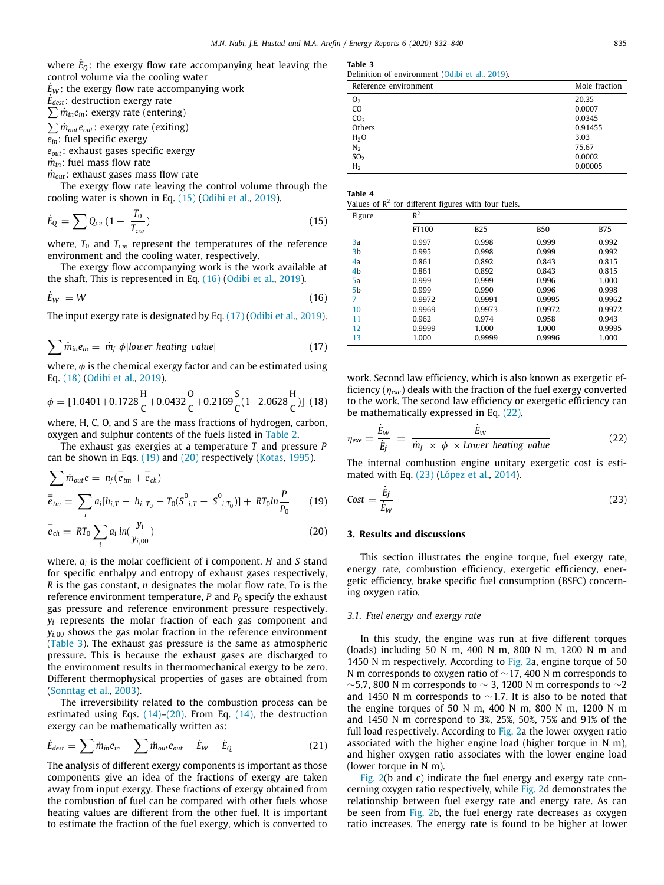where  $\dot{E}_{\text{Q}}$ : the exergy flow rate accompanying heat leaving the control volume via the cooling water

 $E_W$ : the exergy flow rate accompanying work

*E*˙*dest*: destruction exergy rate

 $\sum \dot{m}_{in}e_{in}$ : exergy rate (entering)

∑*m*˙ *outeout*: exergy rate (exiting)

*ein*: fuel specific exergy

*eout*: exhaust gases specific exergy

 $\dot{m}_{in}$ : fuel mass flow rate

 $\dot{m}_{out}$ : exhaust gases mass flow rate

The exergy flow rate leaving the control volume through the cooling water is shown in Eq. [\(15\)](#page-3-0) ([Odibi et al.,](#page-7-18) [2019\)](#page-7-18).

$$
\dot{E}_Q = \sum Q_{cv} (1 - \frac{T_0}{T_{cw}}) \tag{15}
$$

where,  $T_0$  and  $T_{cw}$  represent the temperatures of the reference environment and the cooling water, respectively.

The exergy flow accompanying work is the work available at the shaft. This is represented in Eq. [\(16\)](#page-3-1) ([Odibi et al.,](#page-7-18) [2019\)](#page-7-18).

$$
\dot{E}_W = W \tag{16}
$$

The input exergy rate is designated by Eq. ([17](#page-3-2)) [\(Odibi et al.](#page-7-18), [2019\)](#page-7-18).

$$
\sum \dot{m}_{in} e_{in} = \dot{m}_f \phi | lower \text{ heating value}| \qquad (17)
$$

where,  $\phi$  is the chemical exergy factor and can be estimated using Eq. ([18](#page-3-3)) [\(Odibi et al.,](#page-7-18) [2019\)](#page-7-18).

$$
\phi = [1.0401 + 0.1728 \frac{H}{C} + 0.0432 \frac{O}{C} + 0.2169 \frac{S}{C} (1 - 2.0628 \frac{H}{C})]
$$
 (18)

where, H, C, O, and S are the mass fractions of hydrogen, carbon, oxygen and sulphur contents of the fuels listed in [Table](#page-2-12) [2.](#page-2-12)

The exhaust gas exergies at a temperature *T* and pressure *P* can be shown in Eqs. [\(19\)](#page-3-4) and ([20](#page-3-5)) respectively [\(Kotas](#page-7-20), [1995](#page-7-20)).

$$
\sum_{\overline{e}_{tm}} \dot{m}_{out} e = n_f (\overline{\overline{e}}_{tm} + \overline{\overline{e}}_{ch})
$$
  

$$
\overline{\overline{e}}_{tm} = \sum_{i} a_i [\overline{h}_{i,T} - \overline{h}_{i,T_0} - T_0(\overline{S}^0{}_{i,T} - \overline{S}^0{}_{i,T_0})] + \overline{R}T_0 ln \frac{P}{P_0}
$$
 (19)

$$
\overline{\overline{e}}_{ch} = \overline{R}T_0 \sum_i a_i \ln(\frac{y_i}{y_{i,00}})
$$
\n(20)

where, *a<sup>i</sup>* is the molar coefficient of i component. *H* and *S* stand for specific enthalpy and entropy of exhaust gases respectively, *R* is the gas constant, *n* designates the molar flow rate, To is the reference environment temperature, *P* and *P*<sup>0</sup> specify the exhaust gas pressure and reference environment pressure respectively. *y<sup>i</sup>* represents the molar fraction of each gas component and  $y_{i,00}$  shows the gas molar fraction in the reference environment ([Table](#page-3-6) [3](#page-3-6)). The exhaust gas pressure is the same as atmospheric pressure. This is because the exhaust gases are discharged to the environment results in thermomechanical exergy to be zero. Different thermophysical properties of gases are obtained from ([Sonntag et al.](#page-8-7), [2003](#page-8-7)).

The irreversibility related to the combustion process can be estimated using Eqs. [\(14\)](#page-2-11)–([20](#page-3-5)). From Eq. [\(14\)](#page-2-11), the destruction exergy can be mathematically written as:

$$
\dot{E}_{dest} = \sum \dot{m}_{in} e_{in} - \sum \dot{m}_{out} e_{out} - \dot{E}_{W} - \dot{E}_{Q}
$$
\n(21)

The analysis of different exergy components is important as those components give an idea of the fractions of exergy are taken away from input exergy. These fractions of exergy obtained from the combustion of fuel can be compared with other fuels whose heating values are different from the other fuel. It is important to estimate the fraction of the fuel exergy, which is converted to

<span id="page-3-6"></span>

| . . | $\sim$ | $\sim$ |
|-----|--------|--------|
|-----|--------|--------|

|  | Definition of environment (Odibi et al., 2019). |  |  |  |
|--|-------------------------------------------------|--|--|--|
|  |                                                 |  |  |  |

| Reference environment | Mole fraction |
|-----------------------|---------------|
| 0 <sub>2</sub>        | 20.35         |
| C <sub>O</sub>        | 0.0007        |
| CO <sub>2</sub>       | 0.0345        |
| Others                | 0.91455       |
| H <sub>2</sub> O      | 3.03          |
| N <sub>2</sub>        | 75.67         |
| SO <sub>2</sub>       | 0.0002        |
| H <sub>2</sub>        | 0.00005       |

| ı<br>н<br>---- | $\sim$ |  |
|----------------|--------|--|
|                |        |  |

<span id="page-3-9"></span>

| Values of $R^2$ for different figures with four fuels. |  |  |  |  |
|--------------------------------------------------------|--|--|--|--|
|--------------------------------------------------------|--|--|--|--|

<span id="page-3-1"></span><span id="page-3-0"></span>

| Figure         | $R^2$  |            |        |        |
|----------------|--------|------------|--------|--------|
|                | FT100  | <b>B25</b> | B50    | B75    |
| 3a             | 0.997  | 0.998      | 0.999  | 0.992  |
| 3b             | 0.995  | 0.998      | 0.999  | 0.992  |
| 4a             | 0.861  | 0.892      | 0.843  | 0.815  |
| 4b             | 0.861  | 0.892      | 0.843  | 0.815  |
| 5a             | 0.999  | 0.999      | 0.996  | 1.000  |
| 5 <sub>b</sub> | 0.999  | 0.990      | 0.996  | 0.998  |
| 7              | 0.9972 | 0.9991     | 0.9995 | 0.9962 |
| 10             | 0.9969 | 0.9973     | 0.9972 | 0.9972 |
| 11             | 0.962  | 0.974      | 0.958  | 0.943  |
| 12             | 0.9999 | 1.000      | 1.000  | 0.9995 |
| 13             | 1.000  | 0.9999     | 0.9996 | 1.000  |

<span id="page-3-3"></span><span id="page-3-2"></span>work. Second law efficiency, which is also known as exergetic efficiency (η*exe*) deals with the fraction of the fuel exergy converted to the work. The second law efficiency or exergetic efficiency can be mathematically expressed in Eq. ([22](#page-3-7)).

<span id="page-3-7"></span>
$$
\eta_{exe} = \frac{\dot{E}_W}{\dot{E}_f} = \frac{\dot{E}_W}{\dot{m}_f \times \phi \times Lower heating value}
$$
(22)

The internal combustion engine unitary exergetic cost is estimated with Eq. [\(23](#page-3-8)) ([López et al.,](#page-7-0) [2014\)](#page-7-0).

<span id="page-3-8"></span><span id="page-3-4"></span>
$$
Cost = \frac{\dot{E}_f}{\dot{E}_W} \tag{23}
$$

#### <span id="page-3-5"></span>**3. Results and discussions**

This section illustrates the engine torque, fuel exergy rate, energy rate, combustion efficiency, exergetic efficiency, energetic efficiency, brake specific fuel consumption (BSFC) concerning oxygen ratio.

#### *3.1. Fuel energy and exergy rate*

In this study, the engine was run at five different torques (loads) including 50 N m, 400 N m, 800 N m, 1200 N m and 1450 N m respectively. According to [Fig.](#page-4-0) [2a](#page-4-0), engine torque of 50 N m corresponds to oxygen ratio of ~17, 400 N m corresponds to  $\sim$ 5.7, 800 N m corresponds to  $\sim$  3, 1200 N m corresponds to  $\sim$ 2 and 1450 N m corresponds to ∼1.7. It is also to be noted that the engine torques of 50 N m, 400 N m, 800 N m, 1200 N m and 1450 N m correspond to 3%, 25%, 50%, 75% and 91% of the full load respectively. According to [Fig.](#page-4-0) [2](#page-4-0)a the lower oxygen ratio associated with the higher engine load (higher torque in N m), and higher oxygen ratio associates with the lower engine load (lower torque in N m).

[Fig.](#page-4-0) [2\(](#page-4-0)b and c) indicate the fuel energy and exergy rate concerning oxygen ratio respectively, while [Fig.](#page-4-0) [2d](#page-4-0) demonstrates the relationship between fuel exergy rate and energy rate. As can be seen from [Fig.](#page-4-0) [2](#page-4-0)b, the fuel energy rate decreases as oxygen ratio increases. The energy rate is found to be higher at lower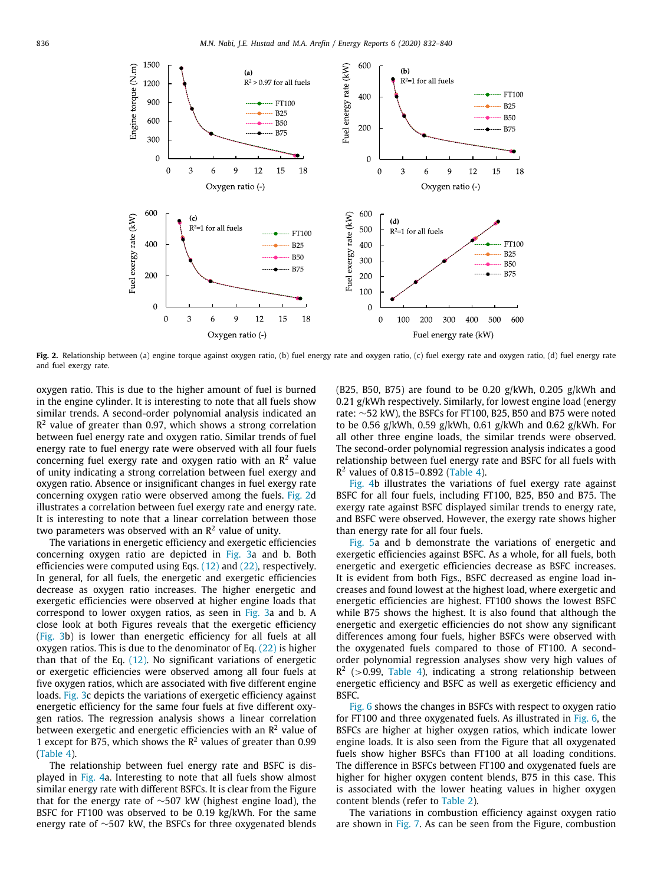

<span id="page-4-0"></span>Fig. 2. Relationship between (a) engine torque against oxygen ratio, (b) fuel energy rate and oxygen ratio, (c) fuel exergy rate and oxygen ratio, (d) fuel energy rate and fuel exergy rate.

oxygen ratio. This is due to the higher amount of fuel is burned in the engine cylinder. It is interesting to note that all fuels show similar trends. A second-order polynomial analysis indicated an  $\mathsf{R}^2$  value of greater than 0.97, which shows a strong correlation between fuel energy rate and oxygen ratio. Similar trends of fuel energy rate to fuel energy rate were observed with all four fuels concerning fuel exergy rate and oxygen ratio with an  $\mathsf{R}^2$  value of unity indicating a strong correlation between fuel exergy and oxygen ratio. Absence or insignificant changes in fuel exergy rate concerning oxygen ratio were observed among the fuels. [Fig.](#page-4-0) [2d](#page-4-0) illustrates a correlation between fuel exergy rate and energy rate. It is interesting to note that a linear correlation between those two parameters was observed with an  $\mathsf{R}^2$  value of unity.

The variations in energetic efficiency and exergetic efficiencies concerning oxygen ratio are depicted in [Fig.](#page-5-0) [3a](#page-5-0) and b. Both efficiencies were computed using Eqs. [\(12\)](#page-2-9) and ([22](#page-3-7)), respectively. In general, for all fuels, the energetic and exergetic efficiencies decrease as oxygen ratio increases. The higher energetic and exergetic efficiencies were observed at higher engine loads that correspond to lower oxygen ratios, as seen in [Fig.](#page-5-0) [3a](#page-5-0) and b. A close look at both Figures reveals that the exergetic efficiency ([Fig.](#page-5-0) [3](#page-5-0)b) is lower than energetic efficiency for all fuels at all oxygen ratios. This is due to the denominator of Eq. ([22](#page-3-7)) is higher than that of the Eq. ([12](#page-2-9)). No significant variations of energetic or exergetic efficiencies were observed among all four fuels at five oxygen ratios, which are associated with five different engine loads. [Fig.](#page-5-0) [3c](#page-5-0) depicts the variations of exergetic efficiency against energetic efficiency for the same four fuels at five different oxygen ratios. The regression analysis shows a linear correlation between exergetic and energetic efficiencies with an  $\mathsf{R}^2$  value of 1 except for B75, which shows the  $R^2$  values of greater than 0.99 ([Table](#page-3-9) [4\)](#page-3-9).

The relationship between fuel energy rate and BSFC is displayed in [Fig.](#page-5-1) [4](#page-5-1)a. Interesting to note that all fuels show almost similar energy rate with different BSFCs. It is clear from the Figure that for the energy rate of ∼507 kW (highest engine load), the BSFC for FT100 was observed to be 0.19 kg/kWh. For the same energy rate of ∼507 kW, the BSFCs for three oxygenated blends (B25, B50, B75) are found to be 0.20  $g/kWh$ , 0.205  $g/kWh$  and 0.21 g/kWh respectively. Similarly, for lowest engine load (energy rate: ∼52 kW), the BSFCs for FT100, B25, B50 and B75 were noted to be 0.56 g/kWh, 0.59 g/kWh, 0.61 g/kWh and 0.62 g/kWh. For all other three engine loads, the similar trends were observed. The second-order polynomial regression analysis indicates a good relationship between fuel energy rate and BSFC for all fuels with  $R<sup>2</sup>$  values of 0.815-0.892 ([Table](#page-3-9) [4\)](#page-3-9).

[Fig.](#page-5-1) [4b](#page-5-1) illustrates the variations of fuel exergy rate against BSFC for all four fuels, including FT100, B25, B50 and B75. The exergy rate against BSFC displayed similar trends to energy rate, and BSFC were observed. However, the exergy rate shows higher than energy rate for all four fuels.

[Fig.](#page-5-2) [5](#page-5-2)a and b demonstrate the variations of energetic and exergetic efficiencies against BSFC. As a whole, for all fuels, both energetic and exergetic efficiencies decrease as BSFC increases. It is evident from both Figs., BSFC decreased as engine load increases and found lowest at the highest load, where exergetic and energetic efficiencies are highest. FT100 shows the lowest BSFC while B75 shows the highest. It is also found that although the energetic and exergetic efficiencies do not show any significant differences among four fuels, higher BSFCs were observed with the oxygenated fuels compared to those of FT100. A secondorder polynomial regression analyses show very high values of  $R<sup>2</sup>$  (>0.99, [Table](#page-3-9) [4\)](#page-3-9), indicating a strong relationship between energetic efficiency and BSFC as well as exergetic efficiency and BSFC.

[Fig.](#page-6-4) [6](#page-6-4) shows the changes in BSFCs with respect to oxygen ratio for FT100 and three oxygenated fuels. As illustrated in [Fig.](#page-6-4) [6,](#page-6-4) the BSFCs are higher at higher oxygen ratios, which indicate lower engine loads. It is also seen from the Figure that all oxygenated fuels show higher BSFCs than FT100 at all loading conditions. The difference in BSFCs between FT100 and oxygenated fuels are higher for higher oxygen content blends, B75 in this case. This is associated with the lower heating values in higher oxygen content blends (refer to [Table](#page-2-12) [2\)](#page-2-12).

The variations in combustion efficiency against oxygen ratio are shown in [Fig.](#page-6-0) [7](#page-6-0). As can be seen from the Figure, combustion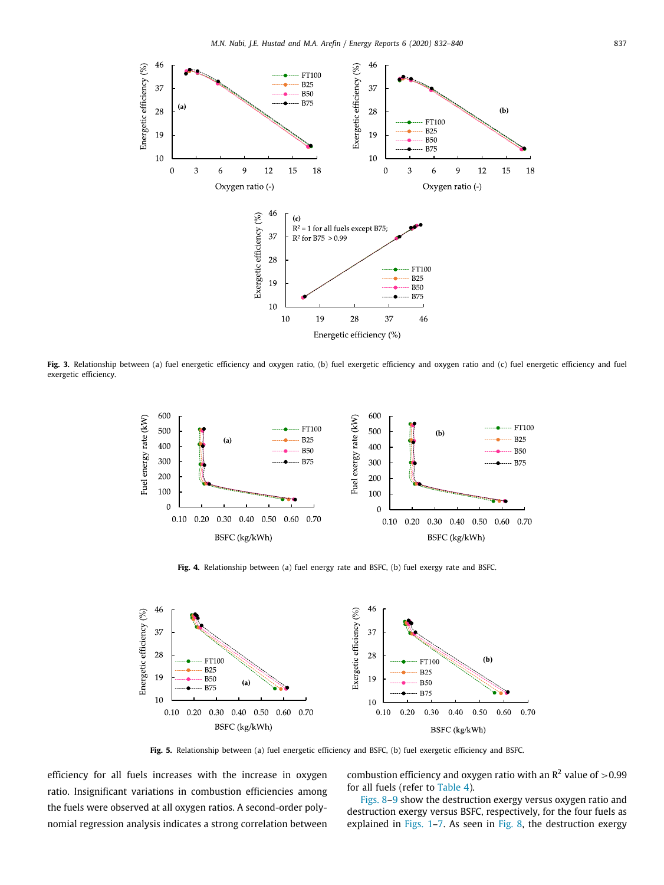

<span id="page-5-0"></span>Fig. 3. Relationship between (a) fuel energetic efficiency and oxygen ratio, (b) fuel exergetic efficiency and oxygen ratio and (c) fuel energetic efficiency and fuel exergetic efficiency.



**Fig. 4.** Relationship between (a) fuel energy rate and BSFC, (b) fuel exergy rate and BSFC.

<span id="page-5-1"></span>

**Fig. 5.** Relationship between (a) fuel energetic efficiency and BSFC, (b) fuel exergetic efficiency and BSFC.

<span id="page-5-2"></span>efficiency for all fuels increases with the increase in oxygen ratio. Insignificant variations in combustion efficiencies among the fuels were observed at all oxygen ratios. A second-order polynomial regression analysis indicates a strong correlation between

combustion efficiency and oxygen ratio with an  $\mathbb{R}^2$  value of  $>$  0.99 for all fuels (refer to [Table](#page-3-9) [4\)](#page-3-9).

[Figs.](#page-6-5) [8](#page-6-5)[–9](#page-6-6) show the destruction exergy versus oxygen ratio and destruction exergy versus BSFC, respectively, for the four fuels as explained in [Figs.](#page-1-3) [1](#page-1-3)[–7.](#page-6-0) As seen in [Fig.](#page-6-5) [8,](#page-6-5) the destruction exergy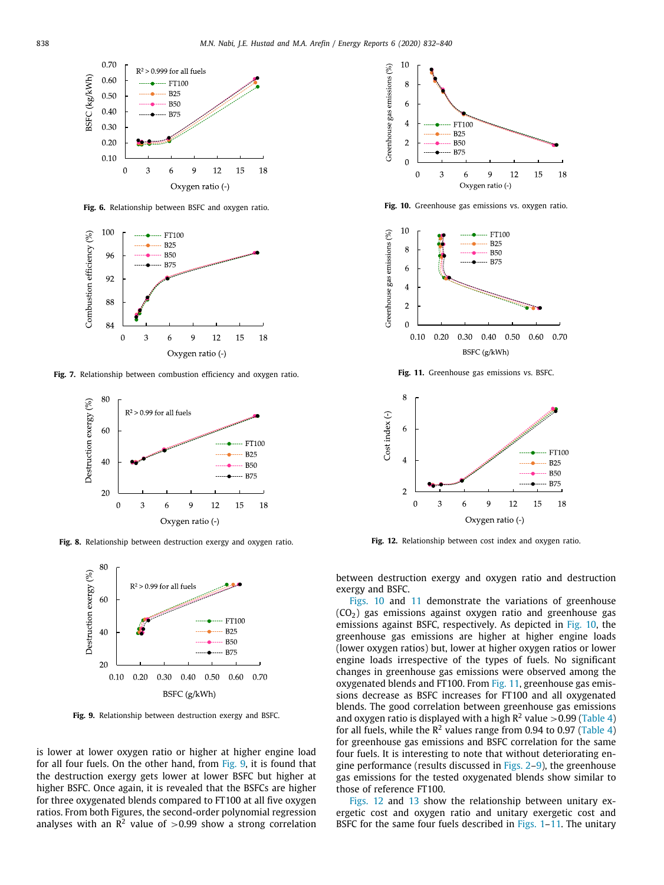

**Fig. 6.** Relationship between BSFC and oxygen ratio.

<span id="page-6-4"></span>

<span id="page-6-0"></span>**Fig. 7.** Relationship between combustion efficiency and oxygen ratio.



<span id="page-6-5"></span>**Fig. 8.** Relationship between destruction exergy and oxygen ratio.



<span id="page-6-6"></span>**Fig. 9.** Relationship between destruction exergy and BSFC.

is lower at lower oxygen ratio or higher at higher engine load for all four fuels. On the other hand, from [Fig.](#page-6-6) [9](#page-6-6), it is found that the destruction exergy gets lower at lower BSFC but higher at higher BSFC. Once again, it is revealed that the BSFCs are higher for three oxygenated blends compared to FT100 at all five oxygen ratios. From both Figures, the second-order polynomial regression analyses with an  $\mathbb{R}^2$  value of  $>$  0.99 show a strong correlation



<span id="page-6-1"></span>**Fig. 10.** Greenhouse gas emissions vs. oxygen ratio.



**Fig. 11.** Greenhouse gas emissions vs. BSFC.

<span id="page-6-2"></span>

<span id="page-6-3"></span>**Fig. 12.** Relationship between cost index and oxygen ratio.

between destruction exergy and oxygen ratio and destruction exergy and BSFC.

[Figs.](#page-6-1) [10](#page-6-1) and [11](#page-6-2) demonstrate the variations of greenhouse  $(CO<sub>2</sub>)$  gas emissions against oxygen ratio and greenhouse gas emissions against BSFC, respectively. As depicted in [Fig.](#page-6-1) [10,](#page-6-1) the greenhouse gas emissions are higher at higher engine loads (lower oxygen ratios) but, lower at higher oxygen ratios or lower engine loads irrespective of the types of fuels. No significant changes in greenhouse gas emissions were observed among the oxygenated blends and FT100. From [Fig.](#page-6-2) [11](#page-6-2), greenhouse gas emissions decrease as BSFC increases for FT100 and all oxygenated blends. The good correlation between greenhouse gas emissions and oxygen ratio is displayed with a high  $R^2$  value >0.99 [\(Table](#page-3-9) [4\)](#page-3-9) for all fuels, while the  $R^2$  values range from 0.94 to 0.97 ([Table](#page-3-9) [4\)](#page-3-9) for greenhouse gas emissions and BSFC correlation for the same four fuels. It is interesting to note that without deteriorating engine performance (results discussed in [Figs.](#page-4-0) [2](#page-4-0)[–9\)](#page-6-6), the greenhouse gas emissions for the tested oxygenated blends show similar to those of reference FT100.

[Figs.](#page-6-3) [12](#page-6-3) and [13](#page-7-21) show the relationship between unitary exergetic cost and oxygen ratio and unitary exergetic cost and BSFC for the same four fuels described in [Figs.](#page-1-3) 1-[11](#page-6-2). The unitary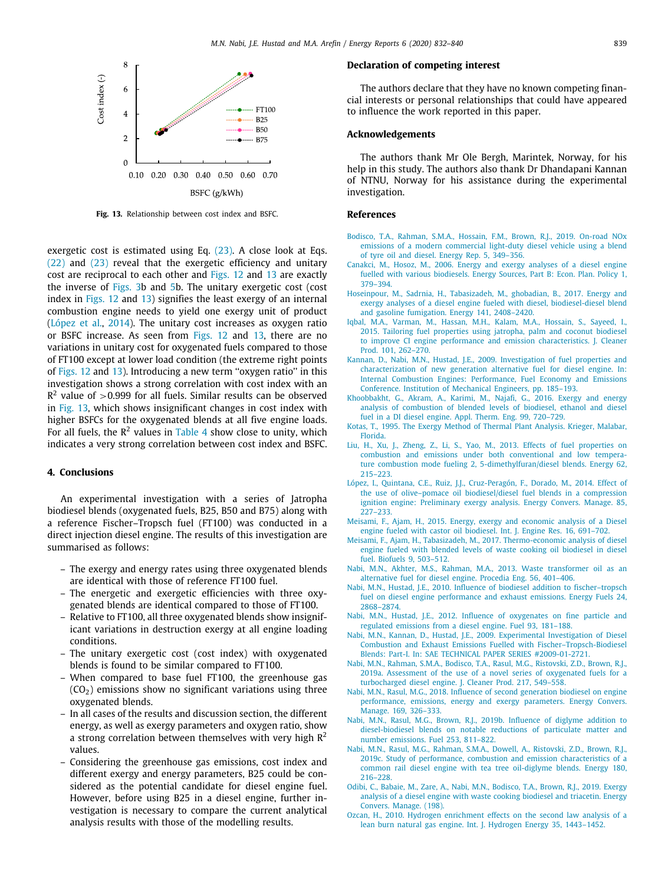

**Fig. 13.** Relationship between cost index and BSFC.

<span id="page-7-21"></span>exergetic cost is estimated using Eq. ([23](#page-3-8)). A close look at Eqs. ([22](#page-3-7)) and [\(23](#page-3-8)) reveal that the exergetic efficiency and unitary cost are reciprocal to each other and [Figs.](#page-6-3) [12](#page-6-3) and [13](#page-7-21) are exactly the inverse of [Figs.](#page-5-0) [3b](#page-5-0) and [5b](#page-5-2). The unitary exergetic cost (cost index in [Figs.](#page-6-3) [12](#page-6-3) and [13\)](#page-7-21) signifies the least exergy of an internal combustion engine needs to yield one exergy unit of product ([López et al.](#page-7-0), [2014](#page-7-0)). The unitary cost increases as oxygen ratio or BSFC increase. As seen from [Figs.](#page-6-3) [12](#page-6-3) and [13,](#page-7-21) there are no variations in unitary cost for oxygenated fuels compared to those of FT100 except at lower load condition (the extreme right points of [Figs.](#page-6-3) [12](#page-6-3) and [13\)](#page-7-21). Introducing a new term "oxygen ratio" in this investigation shows a strong correlation with cost index with an  $R<sup>2</sup>$  value of >0.999 for all fuels. Similar results can be observed in [Fig.](#page-7-21) [13,](#page-7-21) which shows insignificant changes in cost index with higher BSFCs for the oxygenated blends at all five engine loads. For all fuels, the  $R^2$  values in [Table](#page-3-9) [4](#page-3-9) show close to unity, which indicates a very strong correlation between cost index and BSFC.

# **4. Conclusions**

An experimental investigation with a series of Jatropha biodiesel blends (oxygenated fuels, B25, B50 and B75) along with a reference Fischer–Tropsch fuel (FT100) was conducted in a direct injection diesel engine. The results of this investigation are summarised as follows:

- The exergy and energy rates using three oxygenated blends are identical with those of reference FT100 fuel.
- The energetic and exergetic efficiencies with three oxygenated blends are identical compared to those of FT100.
- Relative to FT100, all three oxygenated blends show insignificant variations in destruction exergy at all engine loading conditions.
- The unitary exergetic cost (cost index) with oxygenated blends is found to be similar compared to FT100.
- When compared to base fuel FT100, the greenhouse gas  $(CO<sub>2</sub>)$  emissions show no significant variations using three oxygenated blends.
- In all cases of the results and discussion section, the different energy, as well as exergy parameters and oxygen ratio, show a strong correlation between themselves with very high  $R^2$ values.
- Considering the greenhouse gas emissions, cost index and different exergy and energy parameters, B25 could be considered as the potential candidate for diesel engine fuel. However, before using B25 in a diesel engine, further investigation is necessary to compare the current analytical analysis results with those of the modelling results.

#### **Declaration of competing interest**

The authors declare that they have no known competing financial interests or personal relationships that could have appeared to influence the work reported in this paper.

#### **Acknowledgements**

The authors thank Mr Ole Bergh, Marintek, Norway, for his help in this study. The authors also thank Dr Dhandapani Kannan of NTNU, Norway for his assistance during the experimental investigation.

#### **References**

- <span id="page-7-7"></span>[Bodisco, T.A., Rahman, S.M.A., Hossain, F.M., Brown, R.J., 2019. On-road NOx](http://refhub.elsevier.com/S2352-4847(19)31290-9/sb1) [emissions of a modern commercial light-duty diesel vehicle using a blend](http://refhub.elsevier.com/S2352-4847(19)31290-9/sb1) [of tyre oil and diesel. Energy Rep. 5, 349–356.](http://refhub.elsevier.com/S2352-4847(19)31290-9/sb1)
- <span id="page-7-17"></span>[Canakci, M., Hosoz, M., 2006. Energy and exergy analyses of a diesel engine](http://refhub.elsevier.com/S2352-4847(19)31290-9/sb2) [fuelled with various biodiesels. Energy Sources, Part B: Econ. Plan. Policy 1,](http://refhub.elsevier.com/S2352-4847(19)31290-9/sb2) [379–394.](http://refhub.elsevier.com/S2352-4847(19)31290-9/sb2)
- <span id="page-7-11"></span>[Hoseinpour, M., Sadrnia, H., Tabasizadeh, M., ghobadian, B., 2017. Energy and](http://refhub.elsevier.com/S2352-4847(19)31290-9/sb3) [exergy analyses of a diesel engine fueled with diesel, biodiesel-diesel blend](http://refhub.elsevier.com/S2352-4847(19)31290-9/sb3) [and gasoline fumigation. Energy 141, 2408–2420.](http://refhub.elsevier.com/S2352-4847(19)31290-9/sb3)
- <span id="page-7-8"></span>[Iqbal, M.A., Varman, M., Hassan, M.H., Kalam, M.A., Hossain, S., Sayeed, I.,](http://refhub.elsevier.com/S2352-4847(19)31290-9/sb4) [2015. Tailoring fuel properties using jatropha, palm and coconut biodiesel](http://refhub.elsevier.com/S2352-4847(19)31290-9/sb4) [to improve CI engine performance and emission characteristics. J. Cleaner](http://refhub.elsevier.com/S2352-4847(19)31290-9/sb4) [Prod. 101, 262–270.](http://refhub.elsevier.com/S2352-4847(19)31290-9/sb4)
- <span id="page-7-16"></span>[Kannan, D., Nabi, M.N., Hustad, J.E., 2009. Investigation of fuel properties and](http://refhub.elsevier.com/S2352-4847(19)31290-9/sb5) [characterization of new generation alternative fuel for diesel engine. In:](http://refhub.elsevier.com/S2352-4847(19)31290-9/sb5) [Internal Combustion Engines: Performance, Fuel Economy and Emissions](http://refhub.elsevier.com/S2352-4847(19)31290-9/sb5) [Conference. Institution of Mechanical Engineers, pp. 185–193.](http://refhub.elsevier.com/S2352-4847(19)31290-9/sb5)
- <span id="page-7-12"></span>[Khoobbakht, G., Akram, A., Karimi, M., Najafi, G., 2016. Exergy and energy](http://refhub.elsevier.com/S2352-4847(19)31290-9/sb6) [analysis of combustion of blended levels of biodiesel, ethanol and diesel](http://refhub.elsevier.com/S2352-4847(19)31290-9/sb6) [fuel in a DI diesel engine. Appl. Therm. Eng. 99, 720–729.](http://refhub.elsevier.com/S2352-4847(19)31290-9/sb6)
- <span id="page-7-20"></span>[Kotas, T., 1995. The Exergy Method of Thermal Plant Analysis. Krieger, Malabar,](http://refhub.elsevier.com/S2352-4847(19)31290-9/sb7) [Florida.](http://refhub.elsevier.com/S2352-4847(19)31290-9/sb7)
- <span id="page-7-9"></span>[Liu, H., Xu, J., Zheng, Z., Li, S., Yao, M., 2013. Effects of fuel properties on](http://refhub.elsevier.com/S2352-4847(19)31290-9/sb8) [combustion and emissions under both conventional and low tempera](http://refhub.elsevier.com/S2352-4847(19)31290-9/sb8)[ture combustion mode fueling 2, 5-dimethylfuran/diesel blends. Energy 62,](http://refhub.elsevier.com/S2352-4847(19)31290-9/sb8) [215–223.](http://refhub.elsevier.com/S2352-4847(19)31290-9/sb8)
- <span id="page-7-0"></span>[López, I., Quintana, C.E., Ruiz, J.J., Cruz-Peragón, F., Dorado, M., 2014. Effect of](http://refhub.elsevier.com/S2352-4847(19)31290-9/sb9) [the use of olive–pomace oil biodiesel/diesel fuel blends in a compression](http://refhub.elsevier.com/S2352-4847(19)31290-9/sb9) [ignition engine: Preliminary exergy analysis. Energy Convers. Manage. 85,](http://refhub.elsevier.com/S2352-4847(19)31290-9/sb9) [227–233.](http://refhub.elsevier.com/S2352-4847(19)31290-9/sb9)
- <span id="page-7-10"></span>[Meisami, F., Ajam, H., 2015. Energy, exergy and economic analysis of a Diesel](http://refhub.elsevier.com/S2352-4847(19)31290-9/sb10) [engine fueled with castor oil biodiesel. Int. J. Engine Res. 16, 691–702.](http://refhub.elsevier.com/S2352-4847(19)31290-9/sb10)
- <span id="page-7-19"></span>[Meisami, F., Ajam, H., Tabasizadeh, M., 2017. Thermo-economic analysis of diesel](http://refhub.elsevier.com/S2352-4847(19)31290-9/sb11) [engine fueled with blended levels of waste cooking oil biodiesel in diesel](http://refhub.elsevier.com/S2352-4847(19)31290-9/sb11) [fuel. Biofuels 9, 503–512.](http://refhub.elsevier.com/S2352-4847(19)31290-9/sb11)
- <span id="page-7-1"></span>[Nabi, M.N., Akhter, M.S., Rahman, M.A., 2013. Waste transformer oil as an](http://refhub.elsevier.com/S2352-4847(19)31290-9/sb12) [alternative fuel for diesel engine. Procedia Eng. 56, 401–406.](http://refhub.elsevier.com/S2352-4847(19)31290-9/sb12)
- <span id="page-7-15"></span>[Nabi, M.N., Hustad, J.E., 2010. Influence of biodiesel addition to fischer–tropsch](http://refhub.elsevier.com/S2352-4847(19)31290-9/sb13) [fuel on diesel engine performance and exhaust emissions. Energy Fuels 24,](http://refhub.elsevier.com/S2352-4847(19)31290-9/sb13) [2868–2874.](http://refhub.elsevier.com/S2352-4847(19)31290-9/sb13)
- <span id="page-7-6"></span>[Nabi, M.N., Hustad, J.E., 2012. Influence of oxygenates on fine particle and](http://refhub.elsevier.com/S2352-4847(19)31290-9/sb14) [regulated emissions from a diesel engine. Fuel 93, 181–188.](http://refhub.elsevier.com/S2352-4847(19)31290-9/sb14)
- <span id="page-7-14"></span>[Nabi, M.N., Kannan, D., Hustad, J.E., 2009. Experimental Investigation of Diesel](http://refhub.elsevier.com/S2352-4847(19)31290-9/sb15) [Combustion and Exhaust Emissions Fuelled with Fischer–Tropsch-Biodiesel](http://refhub.elsevier.com/S2352-4847(19)31290-9/sb15) [Blends: Part-I. In: SAE TECHNICAL PAPER SERIES #2009-01-2721.](http://refhub.elsevier.com/S2352-4847(19)31290-9/sb15)
- <span id="page-7-4"></span>[Nabi, M.N., Rahman, S.M.A., Bodisco, T.A., Rasul, M.G., Ristovski, Z.D., Brown, R.J.,](http://refhub.elsevier.com/S2352-4847(19)31290-9/sb16) [2019a. Assessment of the use of a novel series of oxygenated fuels for a](http://refhub.elsevier.com/S2352-4847(19)31290-9/sb16) [turbocharged diesel engine. J. Cleaner Prod. 217, 549–558.](http://refhub.elsevier.com/S2352-4847(19)31290-9/sb16)
- <span id="page-7-5"></span>[Nabi, M.N., Rasul, M.G., 2018. Influence of second generation biodiesel on engine](http://refhub.elsevier.com/S2352-4847(19)31290-9/sb17) [performance, emissions, energy and exergy parameters. Energy Convers.](http://refhub.elsevier.com/S2352-4847(19)31290-9/sb17) [Manage. 169, 326–333.](http://refhub.elsevier.com/S2352-4847(19)31290-9/sb17)
- <span id="page-7-3"></span>[Nabi, M.N., Rasul, M.G., Brown, R.J., 2019b. Influence of diglyme addition to](http://refhub.elsevier.com/S2352-4847(19)31290-9/sb18) [diesel-biodiesel blends on notable reductions of particulate matter and](http://refhub.elsevier.com/S2352-4847(19)31290-9/sb18) [number emissions. Fuel 253, 811–822.](http://refhub.elsevier.com/S2352-4847(19)31290-9/sb18)
- <span id="page-7-2"></span>[Nabi, M.N., Rasul, M.G., Rahman, S.M.A., Dowell, A., Ristovski, Z.D., Brown, R.J.,](http://refhub.elsevier.com/S2352-4847(19)31290-9/sb19) [2019c. Study of performance, combustion and emission characteristics of a](http://refhub.elsevier.com/S2352-4847(19)31290-9/sb19) [common rail diesel engine with tea tree oil-diglyme blends. Energy 180,](http://refhub.elsevier.com/S2352-4847(19)31290-9/sb19) [216–228.](http://refhub.elsevier.com/S2352-4847(19)31290-9/sb19)
- <span id="page-7-18"></span>[Odibi, C., Babaie, M., Zare, A., Nabi, M.N., Bodisco, T.A., Brown, R.J., 2019. Exergy](http://refhub.elsevier.com/S2352-4847(19)31290-9/sb20) [analysis of a diesel engine with waste cooking biodiesel and triacetin. Energy](http://refhub.elsevier.com/S2352-4847(19)31290-9/sb20) [Convers. Manage. \(198\).](http://refhub.elsevier.com/S2352-4847(19)31290-9/sb20)
- <span id="page-7-13"></span>[Ozcan, H., 2010. Hydrogen enrichment effects on the second law analysis of a](http://refhub.elsevier.com/S2352-4847(19)31290-9/sb21) [lean burn natural gas engine. Int. J. Hydrogen Energy 35, 1443–1452.](http://refhub.elsevier.com/S2352-4847(19)31290-9/sb21)